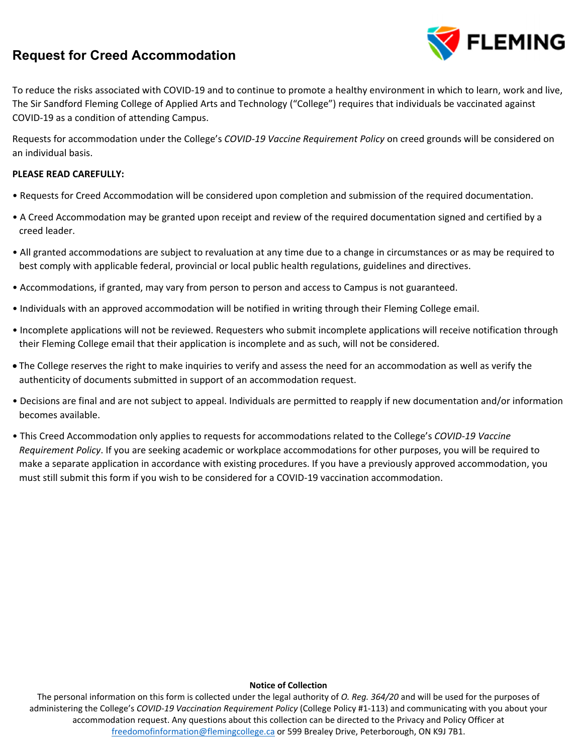# **Request for Creed Accommodation**



To reduce the risks associated with COVID‐19 and to continue to promote a healthy environment in which to learn, work and live, The Sir Sandford Fleming College of Applied Arts and Technology ("College") requires that individuals be vaccinated against COVID‐19 as a condition of attending Campus.

Requests for accommodation under the College's *COVID‐19 Vaccine Requirement Policy* on creed grounds will be considered on an individual basis.

### **PLEASE READ CAREFULLY:**

- Requests for Creed Accommodation will be considered upon completion and submission of the required documentation.
- A Creed Accommodation may be granted upon receipt and review of the required documentation signed and certified by a creed leader.
- All granted accommodations are subject to revaluation at any time due to a change in circumstances or as may be required to best comply with applicable federal, provincial or local public health regulations, guidelines and directives.
- Accommodations, if granted, may vary from person to person and access to Campus is not guaranteed.
- Individuals with an approved accommodation will be notified in writing through their Fleming College email.
- Incomplete applications will not be reviewed. Requesters who submit incomplete applications will receive notification through their Fleming College email that their application is incomplete and as such, will not be considered.
- The College reserves the right to make inquiries to verify and assess the need for an accommodation as well as verify the authenticity of documents submitted in support of an accommodation request.
- Decisions are final and are not subject to appeal. Individuals are permitted to reapply if new documentation and/or information becomes available.
- This Creed Accommodation only applies to requests for accommodations related to the College's *COVID‐19 Vaccine Requirement Policy*. If you are seeking academic or workplace accommodations for other purposes, you will be required to make a separate application in accordance with existing procedures. If you have a previously approved accommodation, you must still submit this form if you wish to be considered for a COVID‐19 vaccination accommodation.

#### **Notice of Collection**

The personal information on this form is collected under the legal authority of *O. Reg. 364/20* and will be used for the purposes of administering the College's *COVID‐19 Vaccination Requirement Policy* (College Policy #1‐113) and communicating with you about your accommodation request. Any questions about this collection can be directed to the Privacy and Policy Officer at freedomofinformation@flemingcollege.ca or 599 Brealey Drive, Peterborough, ON K9J 7B1.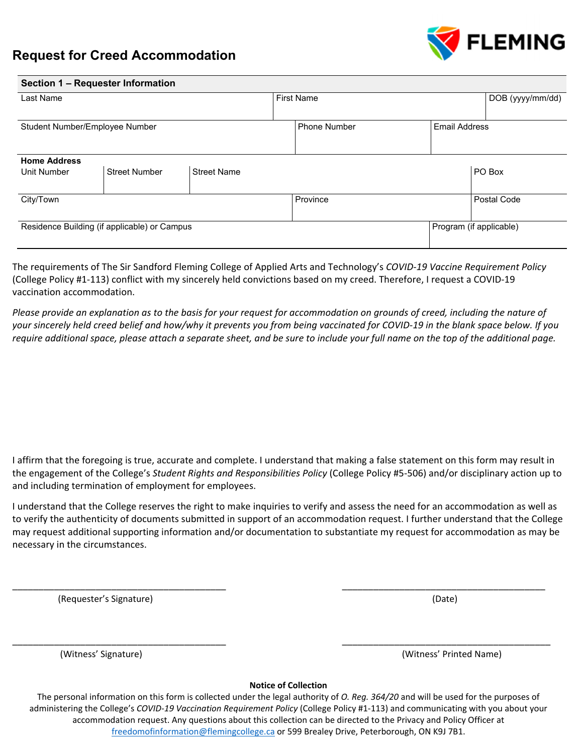

**Section 1 – Requester Information** 



| $\sigma$                                     |                      |                    |                   |                     |                      |                         |                  |  |
|----------------------------------------------|----------------------|--------------------|-------------------|---------------------|----------------------|-------------------------|------------------|--|
| Last Name                                    |                      |                    | <b>First Name</b> |                     |                      |                         | DOB (yyyy/mm/dd) |  |
|                                              |                      |                    |                   |                     |                      |                         |                  |  |
| Student Number/Employee Number               |                      |                    |                   | <b>Phone Number</b> | <b>Email Address</b> |                         |                  |  |
|                                              |                      |                    |                   |                     |                      |                         |                  |  |
| <b>Home Address</b>                          |                      |                    |                   |                     |                      |                         |                  |  |
| Unit Number                                  | <b>Street Number</b> | <b>Street Name</b> |                   |                     |                      |                         | PO Box           |  |
|                                              |                      |                    |                   |                     |                      |                         |                  |  |
| City/Town                                    |                      |                    |                   | Province            |                      |                         | Postal Code      |  |
|                                              |                      |                    |                   |                     |                      |                         |                  |  |
| Residence Building (if applicable) or Campus |                      |                    |                   |                     |                      | Program (if applicable) |                  |  |
|                                              |                      |                    |                   |                     |                      |                         |                  |  |

The requirements of The Sir Sandford Fleming College of Applied Arts and Technology's *COVID‐19 Vaccine Requirement Policy*  (College Policy #1‐113) conflict with my sincerely held convictions based on my creed. Therefore, I request a COVID‐19 vaccination accommodation.

*Please provide an explanation as to the basis for your request for accommodation on grounds of creed, including the nature of your sincerely held creed belief and how/why it prevents you from being vaccinated for COVID‐19 in the blank space below. If you require additional space, please attach a separate sheet, and be sure to include your full name on the top of the additional page.* 

I affirm that the foregoing is true, accurate and complete. I understand that making a false statement on this form may result in the engagement of the College's *Student Rights and Responsibilities Policy* (College Policy #5‐506) and/or disciplinary action up to and including termination of employment for employees.

I understand that the College reserves the right to make inquiries to verify and assess the need for an accommodation as well as to verify the authenticity of documents submitted in support of an accommodation request. I further understand that the College may request additional supporting information and/or documentation to substantiate my request for accommodation as may be necessary in the circumstances.

\_\_\_\_\_\_\_\_\_\_\_\_\_\_\_\_\_\_\_\_\_\_\_\_\_\_\_\_\_\_\_\_\_\_\_\_\_\_\_\_\_ \_\_\_\_\_\_\_\_\_\_\_\_\_\_\_\_\_\_\_\_\_\_\_\_\_\_\_\_\_\_\_\_\_\_\_\_\_\_\_

\_\_\_\_\_\_\_\_\_\_\_\_\_\_\_\_\_\_\_\_\_\_\_\_\_\_\_\_\_\_\_\_\_\_\_\_\_\_\_\_\_ \_\_\_\_\_\_\_\_\_\_\_\_\_\_\_\_\_\_\_\_\_\_\_\_\_\_\_\_\_\_\_\_\_\_\_\_\_\_\_\_

(Requester's Signature) (Date)

(Witness' Signature) (Witness' Printed Name)

**Notice of Collection** 

The personal information on this form is collected under the legal authority of *O. Reg. 364/20* and will be used for the purposes of administering the College's *COVID‐19 Vaccination Requirement Policy* (College Policy #1‐113) and communicating with you about your accommodation request. Any questions about this collection can be directed to the Privacy and Policy Officer at freedomofinformation@flemingcollege.ca or 599 Brealey Drive, Peterborough, ON K9J 7B1.